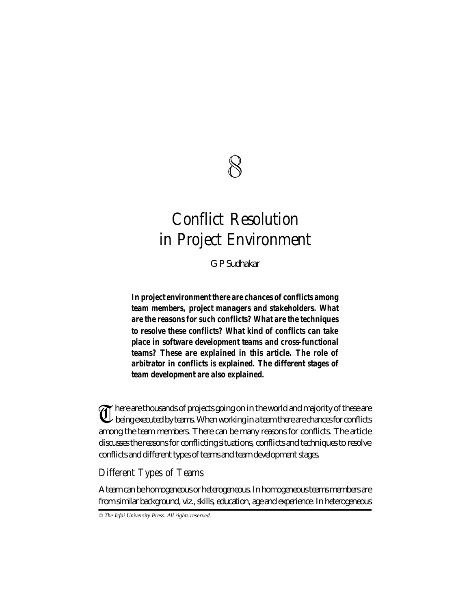

# **Conflict Resolution in Project Environment**

*G P Sudhakar*

*In project environment there are chances of conflicts among team members, project managers and stakeholders. What are the reasons for such conflicts? What are the techniques to resolve these conflicts? What kind of conflicts can take place in software development teams and cross-functional teams? These are explained in this article. The role of arbitrator in conflicts is explained. The different stages of team development are also explained.*

There are thousands of projects going on in the world and majority of these are<br>being executed by teams. When working in a team there are chances for conflicts being executed by teams. When working in a team there are chances for conflicts among the team members. There can be many reasons for conflicts. The article discusses the reasons for conflicting situations, conflicts and techniques to resolve conflicts and different types of teams and team development stages.

## **Different Types of Teams**

A team can be homogeneous or heterogeneous. In homogeneous teams members are from similar background, viz., skills, education, age and experience. In heterogeneous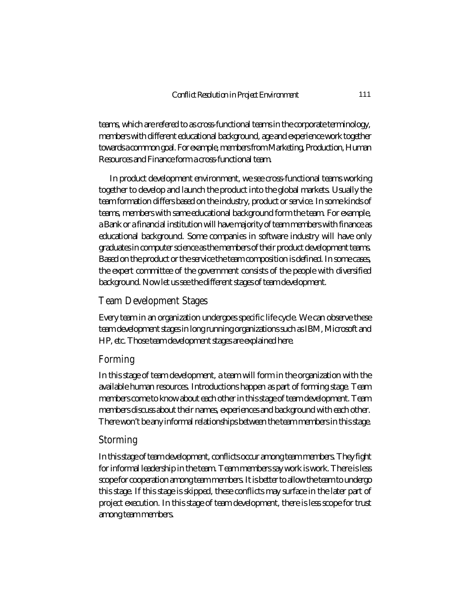teams, which are refered to as cross-functional teams in the corporate terminology, members with different educational background, age and experience work together towards a common goal. For example, members from Marketing, Production, Human Resources and Finance form a cross-functional team.

In product development environment, we see cross-functional teams working together to develop and launch the product into the global markets. Usually the team formation differs based on the industry, product or service. In some kinds of teams, members with same educational background form the team. For example, a Bank or a financial institution will have majority of team members with finance as educational background. Some companies in software industry will have only graduates in computer science as the members of their product development teams. Based on the product or the service the team composition is defined. In some cases, the expert committee of the government consists of the people with diversified background. Now let us see the different stages of team development.

#### **Team Development Stages**

Every team in an organization undergoes specific life cycle. We can observe these team development stages in long running organizations such as IBM, Microsoft and HP, etc. Those team development stages are explained here.

### **Forming**

In this stage of team development, a team will form in the organization with the available human resources. Introductions happen as part of forming stage. Team members come to know about each other in this stage of team development. Team members discuss about their names, experiences and background with each other. There won't be any informal relationships between the team members in this stage.

### **Storming**

In this stage of team development, conflicts occur among team members. They fight for informal leadership in the team. Team members say work is work. There is less scope for cooperation among team members. It is better to allow the team to undergo this stage. If this stage is skipped, these conflicts may surface in the later part of project execution. In this stage of team development, there is less scope for trust among team members.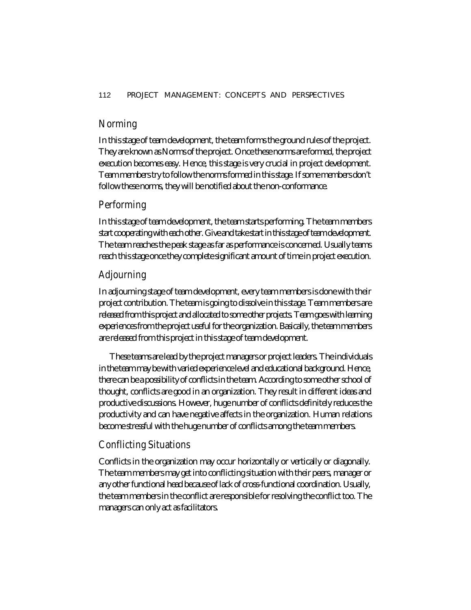## **Norming**

In this stage of team development, the team forms the ground rules of the project. They are known as Norms of the project. Once these norms are formed, the project execution becomes easy. Hence, this stage is very crucial in project development. Team members try to follow the norms formed in this stage. If some members don't follow these norms, they will be notified about the non-conformance.

## **Performing**

In this stage of team development, the team starts performing. The team members start cooperating with each other. Give and take start in this stage of team development. The team reaches the peak stage as far as performance is concerned. Usually teams reach this stage once they complete significant amount of time in project execution.

## **Adjourning**

In adjourning stage of team development, every team members is done with their project contribution. The team is going to dissolve in this stage. Team members are released from this project and allocated to some other projects. Team goes with learning experiences from the project useful for the organization. Basically, the team members are released from this project in this stage of team development.

These teams are lead by the project managers or project leaders. The individuals in the team may be with varied experience level and educational background. Hence, there can be a possibility of conflicts in the team. According to some other school of thought, conflicts are good in an organization. They result in different ideas and productive discussions. However, huge number of conflicts definitely reduces the productivity and can have negative affects in the organization. Human relations become stressful with the huge number of conflicts among the team members.

## **Conflicting Situations**

Conflicts in the organization may occur horizontally or vertically or diagonally. The team members may get into conflicting situation with their peers, manager or any other functional head because of lack of cross-functional coordination. Usually, the team members in the conflict are responsible for resolving the conflict too. The managers can only act as facilitators.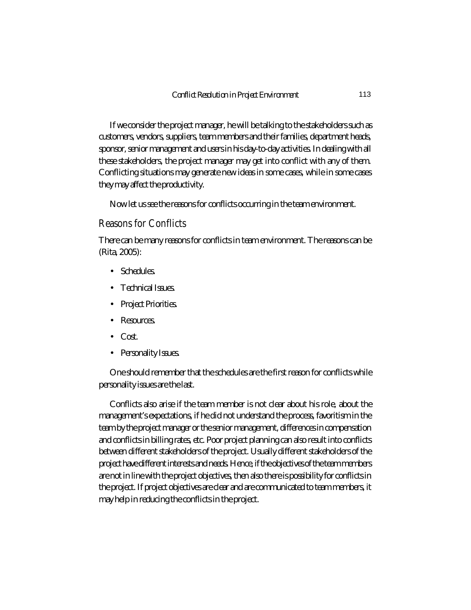If we consider the project manager, he will be talking to the stakeholders such as customers, vendors, suppliers, team members and their families, department heads, sponsor, senior management and users in his day-to-day activities. In dealing with all these stakeholders, the project manager may get into conflict with any of them. Conflicting situations may generate new ideas in some cases, while in some cases they may affect the productivity.

Now let us see the reasons for conflicts occurring in the team environment.

### **Reasons for Conflicts**

There can be many reasons for conflicts in team environment. The reasons can be (Rita, 2005):

- Schedules.
- Technical Issues.
- Project Priorities.
- Resources.
- Cost.
- Personality Issues.

One should remember that the schedules are the first reason for conflicts while personality issues are the last.

Conflicts also arise if the team member is not clear about his role, about the management's expectations, if he did not understand the process, favoritism in the team by the project manager or the senior management, differences in compensation and conflicts in billing rates, etc. Poor project planning can also result into conflicts between different stakeholders of the project. Usually different stakeholders of the project have different interests and needs. Hence, if the objectives of the team members are not in line with the project objectives, then also there is possibility for conflicts in the project. If project objectives are clear and are communicated to team members, it may help in reducing the conflicts in the project.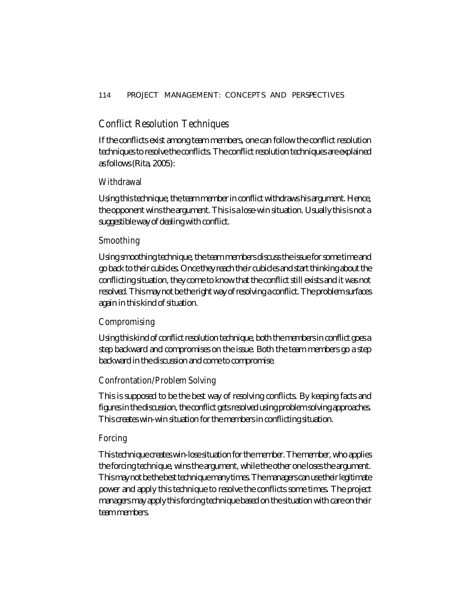## **Conflict Resolution Techniques**

If the conflicts exist among team members, one can follow the conflict resolution techniques to resolve the conflicts. The conflict resolution techniques are explained as follows (Rita, 2005):

## **Withdrawal**

Using this technique, the team member in conflict withdraws his argument. Hence, the opponent wins the argument. This is a lose-win situation. Usually this is not a suggestible way of dealing with conflict.

## **Smoothing**

Using smoothing technique, the team members discuss the issue for some time and go back to their cubicles. Once they reach their cubicles and start thinking about the conflicting situation, they come to know that the conflict still exists and it was not resolved. This may not be the right way of resolving a conflict. The problem surfaces again in this kind of situation.

## **Compromising**

Using this kind of conflict resolution technique, both the members in conflict goes a step backward and compromises on the issue. Both the team members go a step backward in the discussion and come to compromise.

### **Confrontation/Problem Solving**

This is supposed to be the best way of resolving conflicts. By keeping facts and figures in the discussion, the conflict gets resolved using problem solving approaches. This creates win-win situation for the members in conflicting situation.

### **Forcing**

This technique creates win-lose situation for the member. The member, who applies the forcing technique, wins the argument, while the other one loses the argument. This may not be the best technique many times. The managers can use their legitimate power and apply this technique to resolve the conflicts some times. The project managers may apply this forcing technique based on the situation with care on their team members.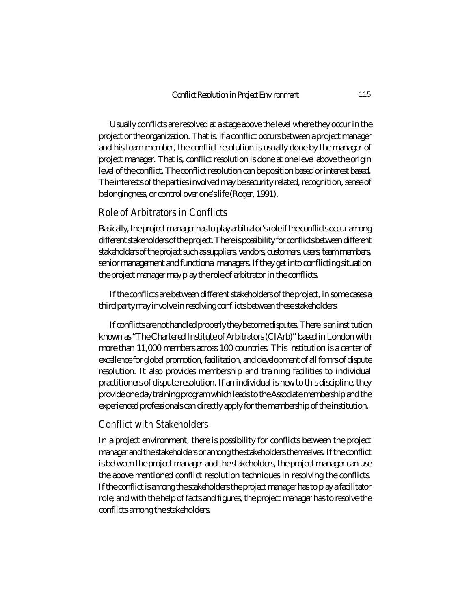Usually conflicts are resolved at a stage above the level where they occur in the project or the organization. That is, if a conflict occurs between a project manager and his team member, the conflict resolution is usually done by the manager of project manager. That is, conflict resolution is done at one level above the origin level of the conflict. The conflict resolution can be position based or interest based. The interests of the parties involved may be security related, recognition, sense of belongingness, or control over one's life (Roger, 1991).

#### **Role of Arbitrators in Conflicts**

Basically, the project manager has to play arbitrator's role if the conflicts occur among different stakeholders of the project. There is possibility for conflicts between different stakeholders of the project such as suppliers, vendors, customers, users, team members, senior management and functional managers. If they get into conflicting situation the project manager may play the role of arbitrator in the conflicts.

If the conflicts are between different stakeholders of the project, in some cases a third party may involve in resolving conflicts between these stakeholders.

If conflicts are not handled properly they become disputes. There is an institution known as "The Chartered Institute of Arbitrators (CIArb)" based in London with more than 11,000 members across 100 countries. This institution is a center of excellence for global promotion, facilitation, and development of all forms of dispute resolution. It also provides membership and training facilities to individual practitioners of dispute resolution. If an individual is new to this discipline, they provide one day training program which leads to the Associate membership and the experienced professionals can directly apply for the membership of the institution.

## **Conflict with Stakeholders**

In a project environment, there is possibility for conflicts between the project manager and the stakeholders or among the stakeholders themselves. If the conflict is between the project manager and the stakeholders, the project manager can use the above mentioned conflict resolution techniques in resolving the conflicts. If the conflict is among the stakeholders the project manager has to play a facilitator role, and with the help of facts and figures, the project manager has to resolve the conflicts among the stakeholders.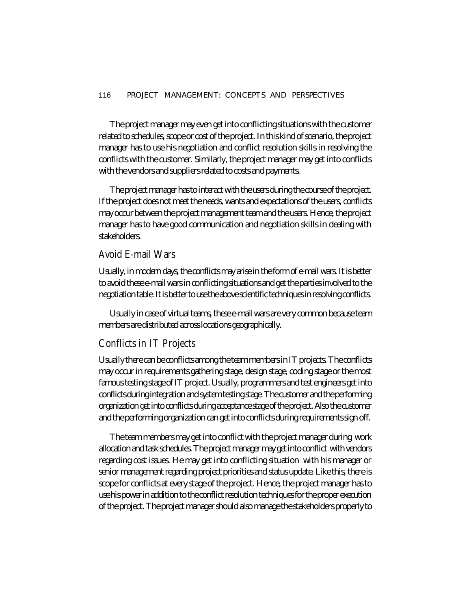#### 116 PROJECT MANAGEMENT: CONCEPTS AND PERSPECTIVES

The project manager may even get into conflicting situations with the customer related to schedules, scope or cost of the project. In this kind of scenario, the project manager has to use his negotiation and conflict resolution skills in resolving the conflicts with the customer. Similarly, the project manager may get into conflicts with the vendors and suppliers related to costs and payments.

The project manager has to interact with the users during the course of the project. If the project does not meet the needs, wants and expectations of the users, conflicts may occur between the project management team and the users. Hence, the project manager has to have good communication and negotiation skills in dealing with stakeholders.

## **Avoid E-mail Wars**

Usually, in modern days, the conflicts may arise in the form of e-mail wars. It is better to avoid these e-mail wars in conflicting situations and get the parties involved to the negotiation table. It is better to use the above scientific techniques in resolving conflicts.

Usually in case of virtual teams, these e-mail wars are very common because team members are distributed across locations geographically.

## **Conflicts in IT Projects**

Usually there can be conflicts among the team members in IT projects. The conflicts may occur in requirements gathering stage, design stage, coding stage or the most famous testing stage of IT project. Usually, programmers and test engineers get into conflicts during integration and system testing stage. The customer and the performing organization get into conflicts during acceptance stage of the project. Also the customer and the performing organization can get into conflicts during requirements sign off.

The team members may get into conflict with the project manager during work allocation and task schedules. The project manager may get into conflict with vendors regarding cost issues. He may get into conflicting situation with his manager or senior management regarding project priorities and status update. Like this, there is scope for conflicts at every stage of the project. Hence, the project manager has to use his power in addition to the conflict resolution techniques for the proper execution of the project. The project manager should also manage the stakeholders properly to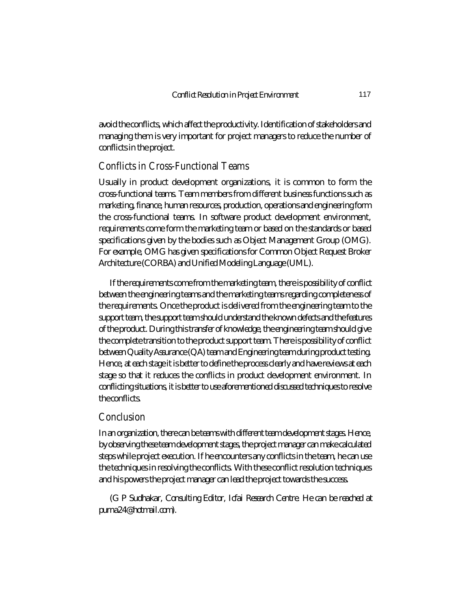avoid the conflicts, which affect the productivity. Identification of stakeholders and managing them is very important for project managers to reduce the number of conflicts in the project.

## **Conflicts in Cross-Functional Teams**

Usually in product development organizations, it is common to form the cross-functional teams. Team members from different business functions such as marketing, finance, human resources, production, operations and engineering form the cross-functional teams. In software product development environment, requirements come form the marketing team or based on the standards or based specifications given by the bodies such as Object Management Group (OMG). For example, OMG has given specifications for Common Object Request Broker Architecture (CORBA) and Unified Modeling Language (UML).

If the requirements come from the marketing team, there is possibility of conflict between the engineering teams and the marketing teams regarding completeness of the requirements. Once the product is delivered from the engineering team to the support team, the support team should understand the known defects and the features of the product. During this transfer of knowledge, the engineering team should give the complete transition to the product support team. There is possibility of conflict between Quality Assurance (QA) team and Engineering team during product testing. Hence, at each stage it is better to define the process clearly and have reviews at each stage so that it reduces the conflicts in product development environment. In conflicting situations, it is better to use aforementioned discussed techniques to resolve the conflicts.

### **Conclusion**

In an organization, there can be teams with different team development stages. Hence, by observing these team development stages, the project manager can make calculated steps while project execution. If he encounters any conflicts in the team, he can use the techniques in resolving the conflicts. With these conflict resolution techniques and his powers the project manager can lead the project towards the success.

*(G P Sudhakar, Consulting Editor, Icfai Research Centre. He can be reached at purna24@hotmail.com).*